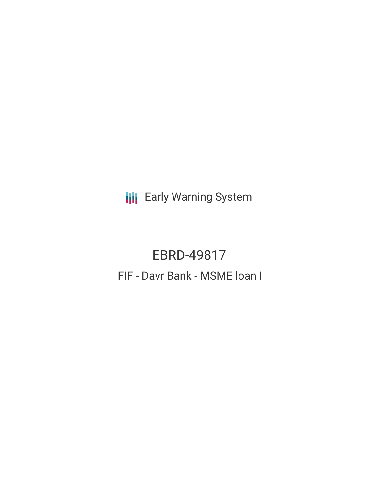**III** Early Warning System

# EBRD-49817 FIF - Davr Bank - MSME loan I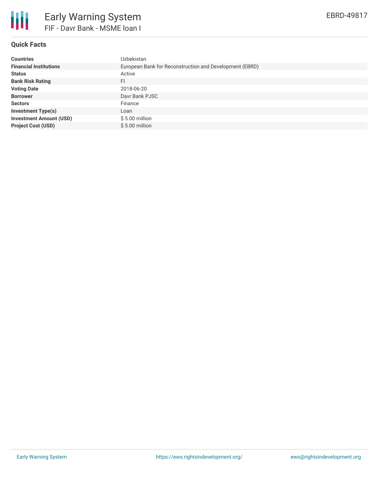

# **Quick Facts**

| <b>Countries</b>               | Uzbekistan                                              |
|--------------------------------|---------------------------------------------------------|
| <b>Financial Institutions</b>  | European Bank for Reconstruction and Development (EBRD) |
| <b>Status</b>                  | Active                                                  |
| <b>Bank Risk Rating</b>        | FI                                                      |
| <b>Voting Date</b>             | 2018-06-20                                              |
| <b>Borrower</b>                | Davr Bank PJSC                                          |
| <b>Sectors</b>                 | Finance                                                 |
| <b>Investment Type(s)</b>      | Loan                                                    |
| <b>Investment Amount (USD)</b> | $$5.00$ million                                         |
| <b>Project Cost (USD)</b>      | $$5.00$ million                                         |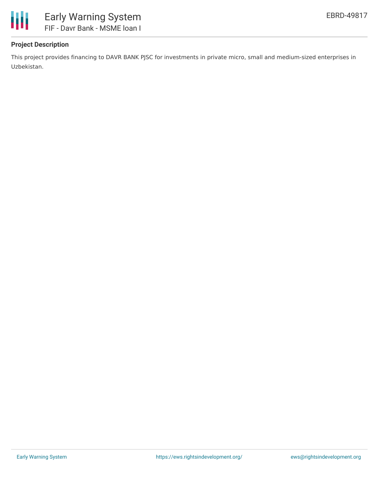

## **Project Description**

This project provides financing to DAVR BANK PJSC for investments in private micro, small and medium-sized enterprises in Uzbekistan.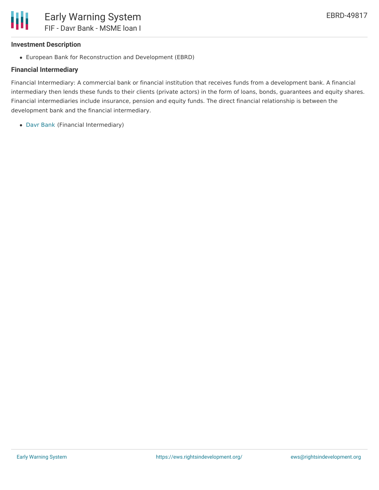### **Investment Description**

European Bank for Reconstruction and Development (EBRD)

# **Financial Intermediary**

Financial Intermediary: A commercial bank or financial institution that receives funds from a development bank. A financial intermediary then lends these funds to their clients (private actors) in the form of loans, bonds, guarantees and equity shares. Financial intermediaries include insurance, pension and equity funds. The direct financial relationship is between the development bank and the financial intermediary.

Davr [Bank](file:///actor/678/) (Financial Intermediary)